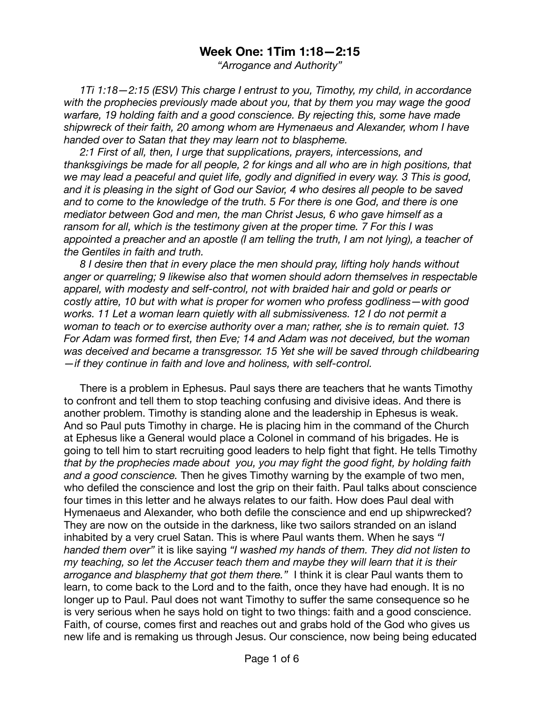## **Week One: 1Tim 1:18—2:15**

*"Arrogance and Authority"* 

*1Ti 1:18—2:15 (ESV) This charge I entrust to you, Timothy, my child, in accordance with the prophecies previously made about you, that by them you may wage the good warfare, 19 holding faith and a good conscience. By rejecting this, some have made shipwreck of their faith, 20 among whom are Hymenaeus and Alexander, whom I have handed over to Satan that they may learn not to blaspheme.* 

*2:1 First of all, then, I urge that supplications, prayers, intercessions, and thanksgivings be made for all people, 2 for kings and all who are in high positions, that we may lead a peaceful and quiet life, godly and dignified in every way. 3 This is good, and it is pleasing in the sight of God our Savior, 4 who desires all people to be saved and to come to the knowledge of the truth. 5 For there is one God, and there is one mediator between God and men, the man Christ Jesus, 6 who gave himself as a ransom for all, which is the testimony given at the proper time. 7 For this I was appointed a preacher and an apostle (I am telling the truth, I am not lying), a teacher of the Gentiles in faith and truth.* 

*8 I desire then that in every place the men should pray, lifting holy hands without anger or quarreling; 9 likewise also that women should adorn themselves in respectable*  apparel, with modesty and self-control, not with braided hair and gold or pearls or *costly attire, 10 but with what is proper for women who profess godliness—with good works. 11 Let a woman learn quietly with all submissiveness. 12 I do not permit a woman to teach or to exercise authority over a man; rather, she is to remain quiet. 13 For Adam was formed first, then Eve; 14 and Adam was not deceived, but the woman was deceived and became a transgressor. 15 Yet she will be saved through childbearing —if they continue in faith and love and holiness, with self-control.* 

There is a problem in Ephesus. Paul says there are teachers that he wants Timothy to confront and tell them to stop teaching confusing and divisive ideas. And there is another problem. Timothy is standing alone and the leadership in Ephesus is weak. And so Paul puts Timothy in charge. He is placing him in the command of the Church at Ephesus like a General would place a Colonel in command of his brigades. He is going to tell him to start recruiting good leaders to help fight that fight. He tells Timothy *that by the prophecies made about you, you may fight the good fight, by holding faith and a good conscience.* Then he gives Timothy warning by the example of two men, who defiled the conscience and lost the grip on their faith. Paul talks about conscience four times in this letter and he always relates to our faith. How does Paul deal with Hymenaeus and Alexander, who both defile the conscience and end up shipwrecked? They are now on the outside in the darkness, like two sailors stranded on an island inhabited by a very cruel Satan. This is where Paul wants them. When he says *"I handed them over"* it is like saying *"I washed my hands of them. They did not listen to my teaching, so let the Accuser teach them and maybe they will learn that it is their arrogance and blasphemy that got them there."* I think it is clear Paul wants them to learn, to come back to the Lord and to the faith, once they have had enough. It is no longer up to Paul. Paul does not want Timothy to suffer the same consequence so he is very serious when he says hold on tight to two things: faith and a good conscience. Faith, of course, comes first and reaches out and grabs hold of the God who gives us new life and is remaking us through Jesus. Our conscience, now being being educated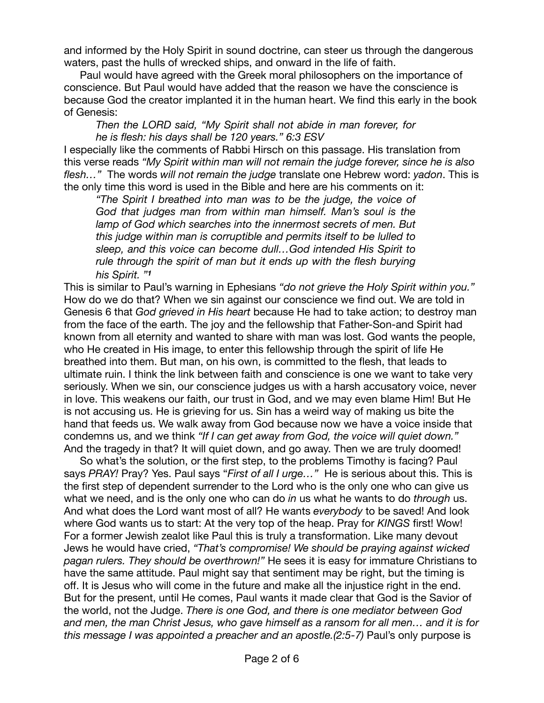and informed by the Holy Spirit in sound doctrine, can steer us through the dangerous waters, past the hulls of wrecked ships, and onward in the life of faith.

Paul would have agreed with the Greek moral philosophers on the importance of conscience. But Paul would have added that the reason we have the conscience is because God the creator implanted it in the human heart. We find this early in the book of Genesis:

*Then the LORD said, "My Spirit shall not abide in man forever, for he is flesh: his days shall be 120 years." 6:3 ESV* 

I especially like the comments of Rabbi Hirsch on this passage. His translation from this verse reads *"My Spirit within man will not remain the judge forever, since he is also flesh…"* The words *will not remain the judge* translate one Hebrew word: *yadon*. This is the only time this word is used in the Bible and here are his comments on it:

*"The Spirit I breathed into man was to be the judge, the voice of God that judges man from within man himself. Man's soul is the lamp of God which searches into the innermost secrets of men. But this judge within man is corruptible and permits itself to be lulled to sleep, and this voice can become dull…God intended His Spirit to rule through the spirit of man but it ends up with the flesh burying his Spirit. "<sup>1</sup>*

This is similar to Paul's warning in Ephesians *"do not grieve the Holy Spirit within you."*  How do we do that? When we sin against our conscience we find out. We are told in Genesis 6 that *God grieved in His heart* because He had to take action; to destroy man from the face of the earth. The joy and the fellowship that Father-Son-and Spirit had known from all eternity and wanted to share with man was lost. God wants the people, who He created in His image, to enter this fellowship through the spirit of life He breathed into them. But man, on his own, is committed to the flesh, that leads to ultimate ruin. I think the link between faith and conscience is one we want to take very seriously. When we sin, our conscience judges us with a harsh accusatory voice, never in love. This weakens our faith, our trust in God, and we may even blame Him! But He is not accusing us. He is grieving for us. Sin has a weird way of making us bite the hand that feeds us. We walk away from God because now we have a voice inside that condemns us, and we think *"If I can get away from God, the voice will quiet down."* And the tragedy in that? It will quiet down, and go away. Then we are truly doomed!

So what's the solution, or the first step, to the problems Timothy is facing? Paul says *PRAY!* Pray? Yes. Paul says "*First of all I urge…"* He is serious about this. This is the first step of dependent surrender to the Lord who is the only one who can give us what we need, and is the only one who can do *in* us what he wants to do *through* us. And what does the Lord want most of all? He wants *everybody* to be saved! And look where God wants us to start: At the very top of the heap. Pray for *KINGS* first! Wow! For a former Jewish zealot like Paul this is truly a transformation. Like many devout Jews he would have cried, *"That's compromise! We should be praying against wicked pagan rulers. They should be overthrown!"* He sees it is easy for immature Christians to have the same attitude. Paul might say that sentiment may be right, but the timing is off. It is Jesus who will come in the future and make all the injustice right in the end. But for the present, until He comes, Paul wants it made clear that God is the Savior of the world, not the Judge. *There is one God, and there is one mediator between God and men, the man Christ Jesus, who gave himself as a ransom for all men… and it is for this message I was appointed a preacher and an apostle.(2:5-7)* Paul's only purpose is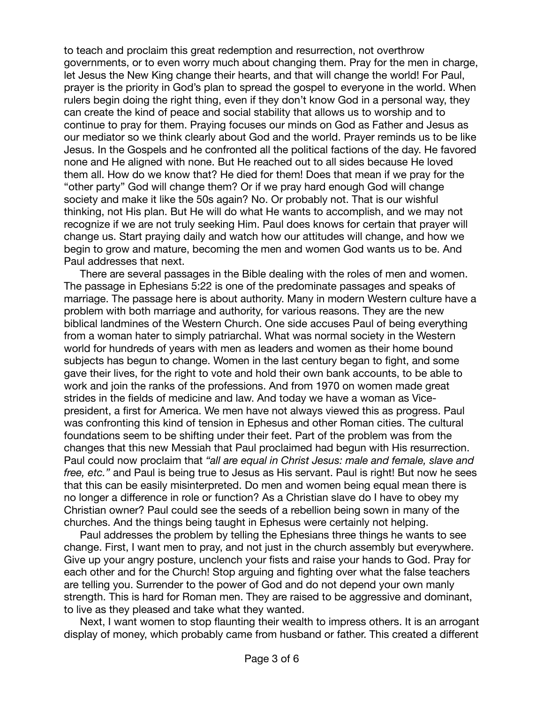to teach and proclaim this great redemption and resurrection, not overthrow governments, or to even worry much about changing them. Pray for the men in charge, let Jesus the New King change their hearts, and that will change the world! For Paul, prayer is the priority in God's plan to spread the gospel to everyone in the world. When rulers begin doing the right thing, even if they don't know God in a personal way, they can create the kind of peace and social stability that allows us to worship and to continue to pray for them. Praying focuses our minds on God as Father and Jesus as our mediator so we think clearly about God and the world. Prayer reminds us to be like Jesus. In the Gospels and he confronted all the political factions of the day. He favored none and He aligned with none. But He reached out to all sides because He loved them all. How do we know that? He died for them! Does that mean if we pray for the "other party" God will change them? Or if we pray hard enough God will change society and make it like the 50s again? No. Or probably not. That is our wishful thinking, not His plan. But He will do what He wants to accomplish, and we may not recognize if we are not truly seeking Him. Paul does knows for certain that prayer will change us. Start praying daily and watch how our attitudes will change, and how we begin to grow and mature, becoming the men and women God wants us to be. And Paul addresses that next.

There are several passages in the Bible dealing with the roles of men and women. The passage in Ephesians 5:22 is one of the predominate passages and speaks of marriage. The passage here is about authority. Many in modern Western culture have a problem with both marriage and authority, for various reasons. They are the new biblical landmines of the Western Church. One side accuses Paul of being everything from a woman hater to simply patriarchal. What was normal society in the Western world for hundreds of years with men as leaders and women as their home bound subjects has begun to change. Women in the last century began to fight, and some gave their lives, for the right to vote and hold their own bank accounts, to be able to work and join the ranks of the professions. And from 1970 on women made great strides in the fields of medicine and law. And today we have a woman as Vicepresident, a first for America. We men have not always viewed this as progress. Paul was confronting this kind of tension in Ephesus and other Roman cities. The cultural foundations seem to be shifting under their feet. Part of the problem was from the changes that this new Messiah that Paul proclaimed had begun with His resurrection. Paul could now proclaim that *"all are equal in Christ Jesus: male and female, slave and free, etc."* and Paul is being true to Jesus as His servant. Paul is right! But now he sees that this can be easily misinterpreted. Do men and women being equal mean there is no longer a difference in role or function? As a Christian slave do I have to obey my Christian owner? Paul could see the seeds of a rebellion being sown in many of the churches. And the things being taught in Ephesus were certainly not helping.

Paul addresses the problem by telling the Ephesians three things he wants to see change. First, I want men to pray, and not just in the church assembly but everywhere. Give up your angry posture, unclench your fists and raise your hands to God. Pray for each other and for the Church! Stop arguing and fighting over what the false teachers are telling you. Surrender to the power of God and do not depend your own manly strength. This is hard for Roman men. They are raised to be aggressive and dominant, to live as they pleased and take what they wanted.

Next, I want women to stop flaunting their wealth to impress others. It is an arrogant display of money, which probably came from husband or father. This created a different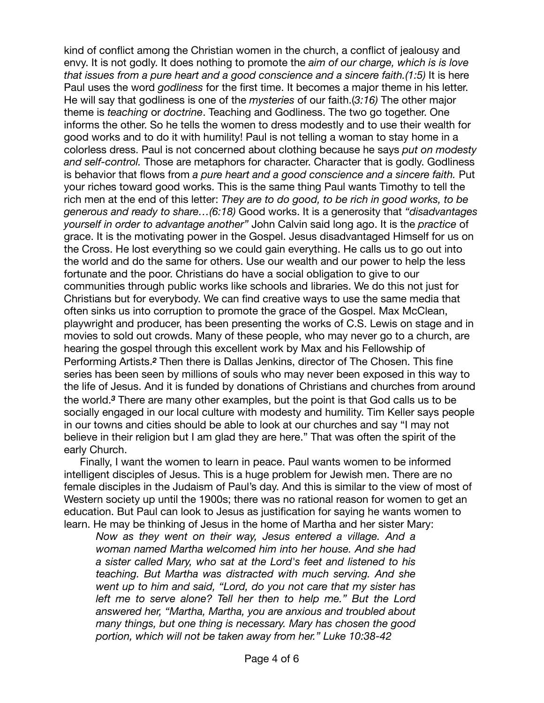kind of conflict among the Christian women in the church, a conflict of jealousy and envy. It is not godly. It does nothing to promote the *aim of our charge, which is is love that issues from a pure heart and a good conscience and a sincere faith.(1:5)* It is here Paul uses the word *godliness* for the first time. It becomes a major theme in his letter. He will say that godliness is one of the *mysteries* of our faith.(*3:16)* The other major theme is *teaching* or *doctrine*. Teaching and Godliness. The two go together. One informs the other. So he tells the women to dress modestly and to use their wealth for good works and to do it with humility! Paul is not telling a woman to stay home in a colorless dress. Paul is not concerned about clothing because he says *put on modesty and self-control.* Those are metaphors for character. Character that is godly. Godliness is behavior that flows from *a pure heart and a good conscience and a sincere faith.* Put your riches toward good works. This is the same thing Paul wants Timothy to tell the rich men at the end of this letter: *They are to do good, to be rich in good works, to be generous and ready to share…(6:18)* Good works. It is a generosity that *"disadvantages yourself in order to advantage another"* John Calvin said long ago. It is the *practice* of grace. It is the motivating power in the Gospel. Jesus disadvantaged Himself for us on the Cross. He lost everything so we could gain everything. He calls us to go out into the world and do the same for others. Use our wealth and our power to help the less fortunate and the poor. Christians do have a social obligation to give to our communities through public works like schools and libraries. We do this not just for Christians but for everybody. We can find creative ways to use the same media that often sinks us into corruption to promote the grace of the Gospel. Max McClean, playwright and producer, has been presenting the works of C.S. Lewis on stage and in movies to sold out crowds. Many of these people, who may never go to a church, are hearing the gospel through this excellent work by Max and his Fellowship of Performing Artists.*2* Then there is Dallas Jenkins, director of The Chosen. This fine series has been seen by millions of souls who may never been exposed in this way to the life of Jesus. And it is funded by donations of Christians and churches from around the world.*3* There are many other examples, but the point is that God calls us to be socially engaged in our local culture with modesty and humility. Tim Keller says people in our towns and cities should be able to look at our churches and say "I may not believe in their religion but I am glad they are here." That was often the spirit of the early Church.

Finally, I want the women to learn in peace. Paul wants women to be informed intelligent disciples of Jesus. This is a huge problem for Jewish men. There are no female disciples in the Judaism of Paul's day. And this is similar to the view of most of Western society up until the 1900s; there was no rational reason for women to get an education. But Paul can look to Jesus as justification for saying he wants women to learn. He may be thinking of Jesus in the home of Martha and her sister Mary:

*Now as they went on their way, Jesus entered a village. And a woman named Martha welcomed him into her house. And she had a sister called Mary, who sat at the Lord's feet and listened to his teaching. But Martha was distracted with much serving. And she went up to him and said, "Lord, do you not care that my sister has left me to serve alone? Tell her then to help me." But the Lord answered her, "Martha, Martha, you are anxious and troubled about many things, but one thing is necessary. Mary has chosen the good portion, which will not be taken away from her." Luke 10:38-42*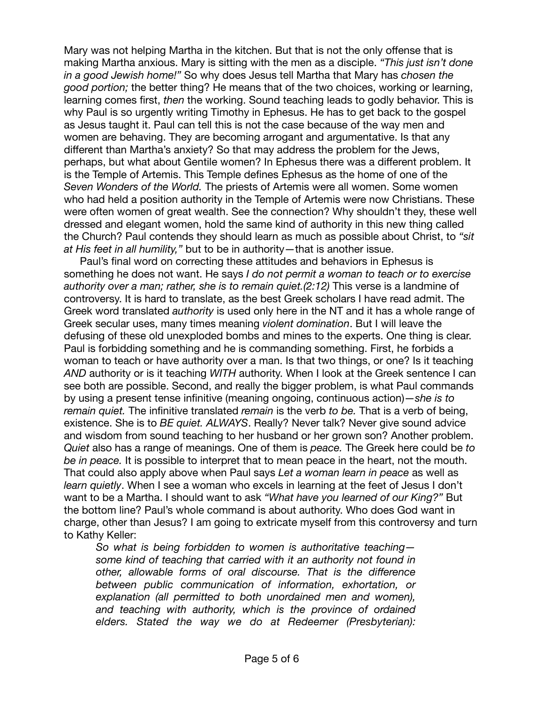Mary was not helping Martha in the kitchen. But that is not the only offense that is making Martha anxious. Mary is sitting with the men as a disciple. *"This just isn't done in a good Jewish home!"* So why does Jesus tell Martha that Mary has *chosen the good portion;* the better thing? He means that of the two choices, working or learning, learning comes first, *then* the working. Sound teaching leads to godly behavior. This is why Paul is so urgently writing Timothy in Ephesus. He has to get back to the gospel as Jesus taught it. Paul can tell this is not the case because of the way men and women are behaving. They are becoming arrogant and argumentative. Is that any different than Martha's anxiety? So that may address the problem for the Jews, perhaps, but what about Gentile women? In Ephesus there was a different problem. It is the Temple of Artemis. This Temple defines Ephesus as the home of one of the *Seven Wonders of the World.* The priests of Artemis were all women. Some women who had held a position authority in the Temple of Artemis were now Christians. These were often women of great wealth. See the connection? Why shouldn't they, these well dressed and elegant women, hold the same kind of authority in this new thing called the Church? Paul contends they should learn as much as possible about Christ, to *"sit at His feet in all humility,"* but to be in authority—that is another issue.

Paul's final word on correcting these attitudes and behaviors in Ephesus is something he does not want. He says *I do not permit a woman to teach or to exercise authority over a man; rather, she is to remain quiet.* (2:12) This verse is a landmine of controversy. It is hard to translate, as the best Greek scholars I have read admit. The Greek word translated *authority* is used only here in the NT and it has a whole range of Greek secular uses, many times meaning *violent domination*. But I will leave the defusing of these old unexploded bombs and mines to the experts. One thing is clear. Paul is forbidding something and he is commanding something. First, he forbids a woman to teach or have authority over a man. Is that two things, or one? Is it teaching *AND* authority or is it teaching *WITH* authority. When I look at the Greek sentence I can see both are possible. Second, and really the bigger problem, is what Paul commands by using a present tense infinitive (meaning ongoing, continuous action)—*she is to remain quiet.* The infinitive translated *remain* is the verb *to be.* That is a verb of being, existence. She is to *BE quiet. ALWAYS*. Really? Never talk? Never give sound advice and wisdom from sound teaching to her husband or her grown son? Another problem. *Quiet* also has a range of meanings. One of them is *peace.* The Greek here could be *to be in peace.* It is possible to interpret that to mean peace in the heart, not the mouth. That could also apply above when Paul says *Let a woman learn in peace* as well as *learn quietly*. When I see a woman who excels in learning at the feet of Jesus I don't want to be a Martha. I should want to ask *"What have you learned of our King?"* But the bottom line? Paul's whole command is about authority. Who does God want in charge, other than Jesus? I am going to extricate myself from this controversy and turn to Kathy Keller:

*So what is being forbidden to women is authoritative teaching some kind of teaching that carried with it an authority not found in other, allowable forms of oral discourse. That is the difference between public communication of information, exhortation, or explanation (all permitted to both unordained men and women), and teaching with authority, which is the province of ordained elders. Stated the way we do at Redeemer (Presbyterian):*